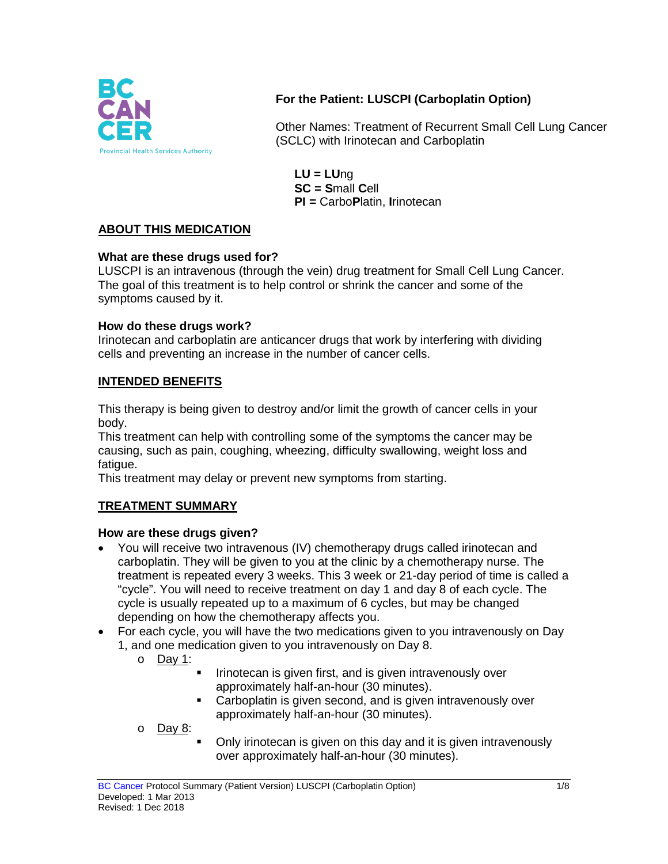

# **For the Patient: LUSCPI (Carboplatin Option)**

Other Names: Treatment of Recurrent Small Cell Lung Cancer (SCLC) with Irinotecan and Carboplatin

**LU = LU**ng **SC = S**mall **C**ell **PI =** Carbo**P**latin, **I**rinotecan

# **ABOUT THIS MEDICATION**

### **What are these drugs used for?**

LUSCPI is an intravenous (through the vein) drug treatment for Small Cell Lung Cancer. The goal of this treatment is to help control or shrink the cancer and some of the symptoms caused by it.

### **How do these drugs work?**

Irinotecan and carboplatin are anticancer drugs that work by interfering with dividing cells and preventing an increase in the number of cancer cells.

## **INTENDED BENEFITS**

This therapy is being given to destroy and/or limit the growth of cancer cells in your body.

This treatment can help with controlling some of the symptoms the cancer may be causing, such as pain, coughing, wheezing, difficulty swallowing, weight loss and fatigue.

This treatment may delay or prevent new symptoms from starting.

### **TREATMENT SUMMARY**

### **How are these drugs given?**

- You will receive two intravenous (IV) chemotherapy drugs called irinotecan and carboplatin. They will be given to you at the clinic by a chemotherapy nurse. The treatment is repeated every 3 weeks. This 3 week or 21-day period of time is called a "cycle". You will need to receive treatment on day 1 and day 8 of each cycle. The cycle is usually repeated up to a maximum of 6 cycles, but may be changed depending on how the chemotherapy affects you.
- For each cycle, you will have the two medications given to you intravenously on Day 1, and one medication given to you intravenously on Day 8.
	- o Day 1:
		- Irinotecan is given first, and is given intravenously over approximately half-an-hour (30 minutes).
		- Carboplatin is given second, and is given intravenously over approximately half-an-hour (30 minutes).
	- o Day 8:
- Only irinotecan is given on this day and it is given intravenously over approximately half-an-hour (30 minutes).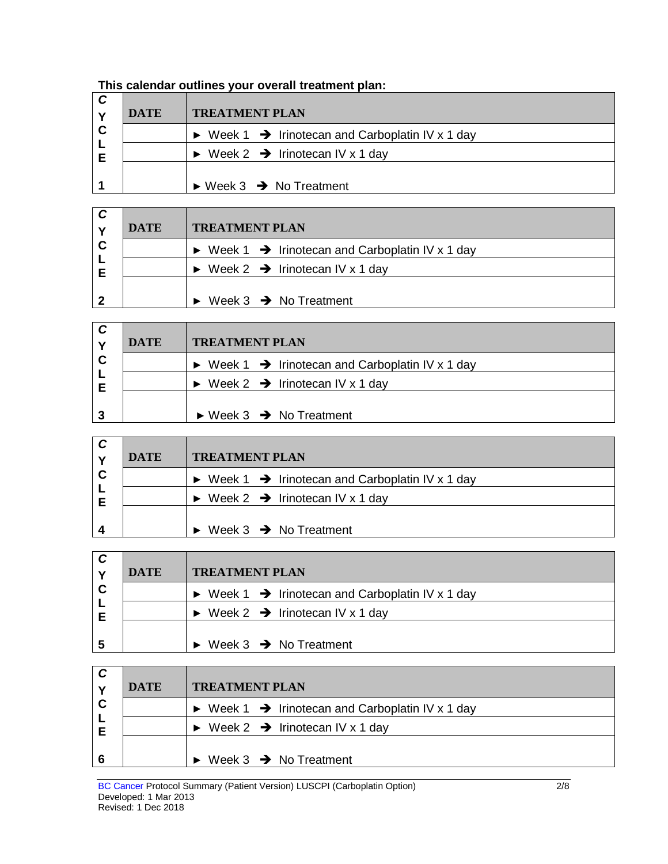| This calendar outlines your overall treatment plan: |  |
|-----------------------------------------------------|--|
|-----------------------------------------------------|--|

| C | <b>DATE</b> | <b>TREATMENT PLAN</b>                                                       |  |  |  |
|---|-------------|-----------------------------------------------------------------------------|--|--|--|
| C |             | $\triangleright$ Week 1 $\rightarrow$ Irinotecan and Carboplatin IV x 1 day |  |  |  |
| Е |             | $\triangleright$ Week 2 $\rightarrow$ Irinotecan IV x 1 day                 |  |  |  |
|   |             | $\triangleright$ Week 3 $\rightarrow$ No Treatment                          |  |  |  |

|   | <b>DATE</b> | <b>TREATMENT PLAN</b>                                                       |  |  |
|---|-------------|-----------------------------------------------------------------------------|--|--|
| C |             | $\triangleright$ Week 1 $\rightarrow$ Irinotecan and Carboplatin IV x 1 day |  |  |
| Е |             | $\triangleright$ Week 2 $\rightarrow$ Irinotecan IV x 1 day                 |  |  |
|   |             | Week $3 \rightarrow$ No Treatment                                           |  |  |

|   | <b>DATE</b> | <b>TREATMENT PLAN</b>                                                       |  |  |
|---|-------------|-----------------------------------------------------------------------------|--|--|
| C |             | $\triangleright$ Week 1 $\rightarrow$ Irinotecan and Carboplatin IV x 1 day |  |  |
| Е |             | $\triangleright$ Week 2 $\rightarrow$ Irinotecan IV x 1 day                 |  |  |
|   |             |                                                                             |  |  |
|   |             | $\triangleright$ Week 3 $\rightarrow$ No Treatment                          |  |  |

| C | <b>DATE</b> | <b>TREATMENT PLAN</b>                                                       |
|---|-------------|-----------------------------------------------------------------------------|
| C |             | $\triangleright$ Week 1 $\rightarrow$ Irinotecan and Carboplatin IV x 1 day |
|   |             | $\triangleright$ Week 2 $\rightarrow$ Irinotecan IV x 1 day                 |
|   |             | $\triangleright$ Week 3 $\rightarrow$ No Treatment                          |

| C | <b>DATE</b> | <b>TREATMENT PLAN</b>                                                       |  |  |  |
|---|-------------|-----------------------------------------------------------------------------|--|--|--|
| C |             | $\triangleright$ Week 1 $\rightarrow$ Irinotecan and Carboplatin IV x 1 day |  |  |  |
| Е |             | $\triangleright$ Week 2 $\rightarrow$ Irinotecan IV x 1 day                 |  |  |  |
|   |             |                                                                             |  |  |  |
|   |             | Week $3 \rightarrow$ No Treatment                                           |  |  |  |

| C | <b>DATE</b> | <b>TREATMENT PLAN</b>                                                       |
|---|-------------|-----------------------------------------------------------------------------|
| C |             | $\triangleright$ Week 1 $\rightarrow$ Irinotecan and Carboplatin IV x 1 day |
| Е |             | $\triangleright$ Week 2 $\rightarrow$ Irinotecan IV x 1 day                 |
| 6 |             | $\triangleright$ Week 3 $\rightarrow$ No Treatment                          |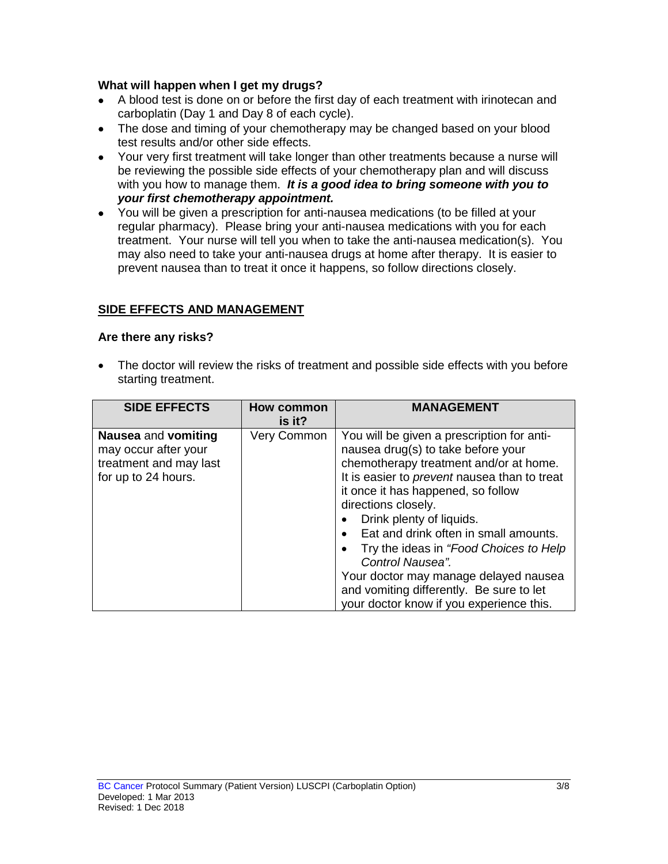## **What will happen when I get my drugs?**

- A blood test is done on or before the first day of each treatment with irinotecan and carboplatin (Day 1 and Day 8 of each cycle).
- The dose and timing of your chemotherapy may be changed based on your blood test results and/or other side effects.
- Your very first treatment will take longer than other treatments because a nurse will be reviewing the possible side effects of your chemotherapy plan and will discuss with you how to manage them. *It is a good idea to bring someone with you to your first chemotherapy appointment.*
- You will be given a prescription for anti-nausea medications (to be filled at your regular pharmacy). Please bring your anti-nausea medications with you for each treatment. Your nurse will tell you when to take the anti-nausea medication(s). You may also need to take your anti-nausea drugs at home after therapy. It is easier to prevent nausea than to treat it once it happens, so follow directions closely.

# **SIDE EFFECTS AND MANAGEMENT**

## **Are there any risks?**

The doctor will review the risks of treatment and possible side effects with you before starting treatment.

| <b>SIDE EFFECTS</b>                                                                          | How common<br>is it? | <b>MANAGEMENT</b>                                                                                                                                                                                                                                                                                                                                                                                                                                                                                                  |
|----------------------------------------------------------------------------------------------|----------------------|--------------------------------------------------------------------------------------------------------------------------------------------------------------------------------------------------------------------------------------------------------------------------------------------------------------------------------------------------------------------------------------------------------------------------------------------------------------------------------------------------------------------|
| Nausea and vomiting<br>may occur after your<br>treatment and may last<br>for up to 24 hours. | Very Common          | You will be given a prescription for anti-<br>nausea drug(s) to take before your<br>chemotherapy treatment and/or at home.<br>It is easier to <i>prevent</i> nausea than to treat<br>it once it has happened, so follow<br>directions closely.<br>Drink plenty of liquids.<br>Eat and drink often in small amounts.<br>Try the ideas in "Food Choices to Help<br>Control Nausea".<br>Your doctor may manage delayed nausea<br>and vomiting differently. Be sure to let<br>your doctor know if you experience this. |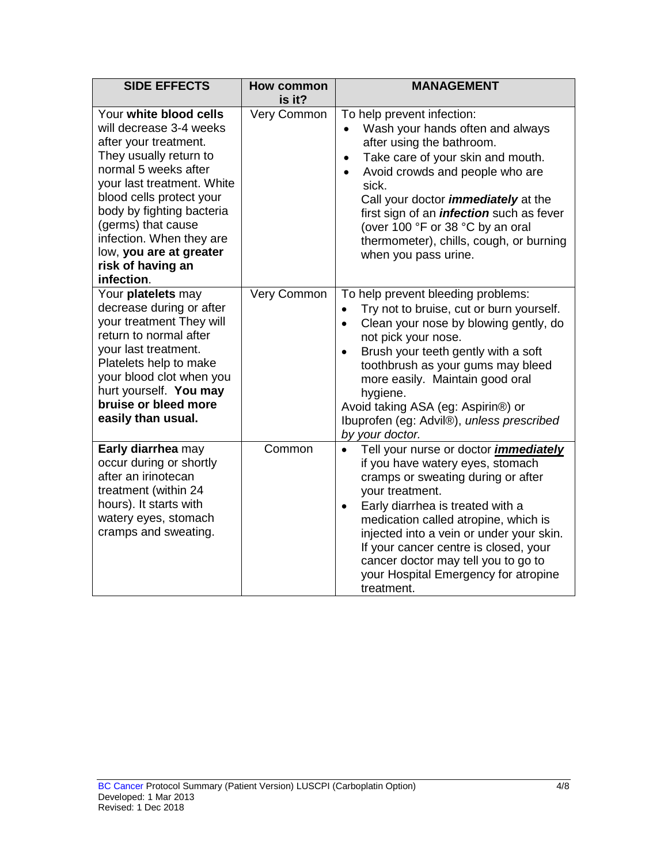| <b>SIDE EFFECTS</b>                                                                                                                                                                                                                                                                                                                 | <b>How common</b><br>is it? | <b>MANAGEMENT</b>                                                                                                                                                                                                                                                                                                                                                                                                                 |
|-------------------------------------------------------------------------------------------------------------------------------------------------------------------------------------------------------------------------------------------------------------------------------------------------------------------------------------|-----------------------------|-----------------------------------------------------------------------------------------------------------------------------------------------------------------------------------------------------------------------------------------------------------------------------------------------------------------------------------------------------------------------------------------------------------------------------------|
| Your white blood cells<br>will decrease 3-4 weeks<br>after your treatment.<br>They usually return to<br>normal 5 weeks after<br>your last treatment. White<br>blood cells protect your<br>body by fighting bacteria<br>(germs) that cause<br>infection. When they are<br>low, you are at greater<br>risk of having an<br>infection. | Very Common                 | To help prevent infection:<br>Wash your hands often and always<br>$\bullet$<br>after using the bathroom.<br>Take care of your skin and mouth.<br>$\bullet$<br>Avoid crowds and people who are<br>$\bullet$<br>sick.<br>Call your doctor <i>immediately</i> at the<br>first sign of an <i>infection</i> such as fever<br>(over 100 °F or 38 °C by an oral<br>thermometer), chills, cough, or burning<br>when you pass urine.       |
| Your platelets may<br>decrease during or after<br>your treatment They will<br>return to normal after<br>your last treatment.<br>Platelets help to make<br>your blood clot when you<br>hurt yourself. You may<br>bruise or bleed more<br>easily than usual.                                                                          | Very Common                 | To help prevent bleeding problems:<br>Try not to bruise, cut or burn yourself.<br>$\bullet$<br>Clean your nose by blowing gently, do<br>$\bullet$<br>not pick your nose.<br>Brush your teeth gently with a soft<br>$\bullet$<br>toothbrush as your gums may bleed<br>more easily. Maintain good oral<br>hygiene.<br>Avoid taking ASA (eg: Aspirin®) or<br>Ibuprofen (eg: Advil®), unless prescribed<br>by your doctor.            |
| Early diarrhea may<br>occur during or shortly<br>after an irinotecan<br>treatment (within 24<br>hours). It starts with<br>watery eyes, stomach<br>cramps and sweating.                                                                                                                                                              | Common                      | Tell your nurse or doctor <i>immediately</i><br>$\bullet$<br>if you have watery eyes, stomach<br>cramps or sweating during or after<br>your treatment.<br>Early diarrhea is treated with a<br>$\bullet$<br>medication called atropine, which is<br>injected into a vein or under your skin.<br>If your cancer centre is closed, your<br>cancer doctor may tell you to go to<br>your Hospital Emergency for atropine<br>treatment. |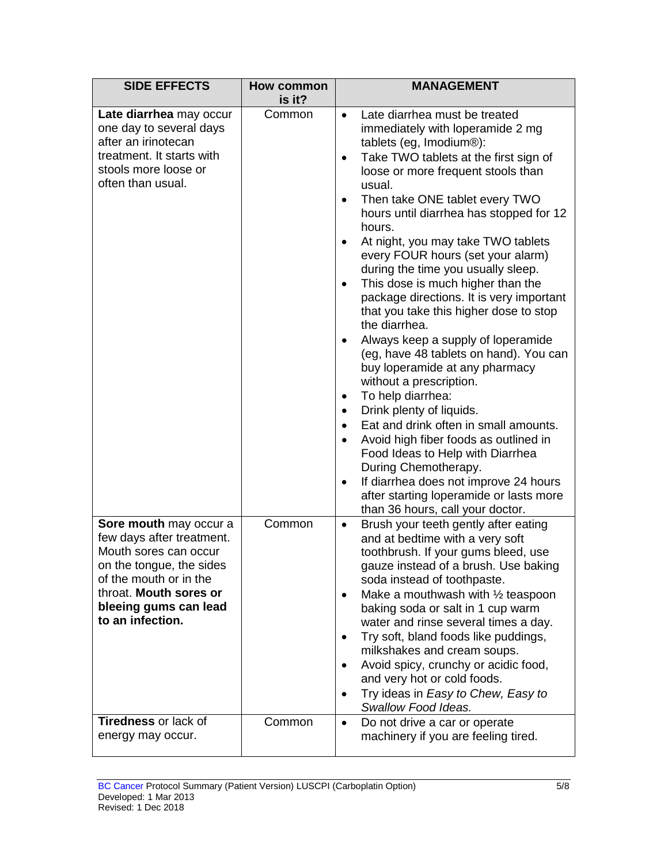| <b>SIDE EFFECTS</b>                                                                                                                                                                                              | <b>How common</b><br>is it? | <b>MANAGEMENT</b>                                                                                                                                                                                                                                                                                                                                                                                                                                                                                                                                                                                                                                                                                                                                                                                                                                                                                                                                                                                                                                                                        |
|------------------------------------------------------------------------------------------------------------------------------------------------------------------------------------------------------------------|-----------------------------|------------------------------------------------------------------------------------------------------------------------------------------------------------------------------------------------------------------------------------------------------------------------------------------------------------------------------------------------------------------------------------------------------------------------------------------------------------------------------------------------------------------------------------------------------------------------------------------------------------------------------------------------------------------------------------------------------------------------------------------------------------------------------------------------------------------------------------------------------------------------------------------------------------------------------------------------------------------------------------------------------------------------------------------------------------------------------------------|
| Late diarrhea may occur<br>one day to several days<br>after an irinotecan<br>treatment. It starts with<br>stools more loose or<br>often than usual.                                                              | Common                      | Late diarrhea must be treated<br>$\bullet$<br>immediately with loperamide 2 mg<br>tablets (eg, Imodium®):<br>Take TWO tablets at the first sign of<br>$\bullet$<br>loose or more frequent stools than<br>usual.<br>Then take ONE tablet every TWO<br>$\bullet$<br>hours until diarrhea has stopped for 12<br>hours.<br>At night, you may take TWO tablets<br>every FOUR hours (set your alarm)<br>during the time you usually sleep.<br>This dose is much higher than the<br>$\bullet$<br>package directions. It is very important<br>that you take this higher dose to stop<br>the diarrhea.<br>Always keep a supply of loperamide<br>(eg, have 48 tablets on hand). You can<br>buy loperamide at any pharmacy<br>without a prescription.<br>To help diarrhea:<br>٠<br>Drink plenty of liquids.<br>$\bullet$<br>Eat and drink often in small amounts.<br>Avoid high fiber foods as outlined in<br>Food Ideas to Help with Diarrhea<br>During Chemotherapy.<br>If diarrhea does not improve 24 hours<br>٠<br>after starting loperamide or lasts more<br>than 36 hours, call your doctor. |
| <b>Sore mouth may occur a</b><br>few days after treatment.<br>Mouth sores can occur<br>on the tongue, the sides<br>of the mouth or in the<br>throat. Mouth sores or<br>bleeing gums can lead<br>to an infection. | Common                      | Brush your teeth gently after eating<br>٠<br>and at bedtime with a very soft<br>toothbrush. If your gums bleed, use<br>gauze instead of a brush. Use baking<br>soda instead of toothpaste.<br>Make a mouthwash with 1/2 teaspoon<br>$\bullet$<br>baking soda or salt in 1 cup warm<br>water and rinse several times a day.<br>Try soft, bland foods like puddings,<br>٠<br>milkshakes and cream soups.<br>Avoid spicy, crunchy or acidic food,<br>$\bullet$<br>and very hot or cold foods.<br>Try ideas in Easy to Chew, Easy to<br>Swallow Food Ideas.                                                                                                                                                                                                                                                                                                                                                                                                                                                                                                                                  |
| <b>Tiredness or lack of</b><br>energy may occur.                                                                                                                                                                 | Common                      | Do not drive a car or operate<br>$\bullet$<br>machinery if you are feeling tired.                                                                                                                                                                                                                                                                                                                                                                                                                                                                                                                                                                                                                                                                                                                                                                                                                                                                                                                                                                                                        |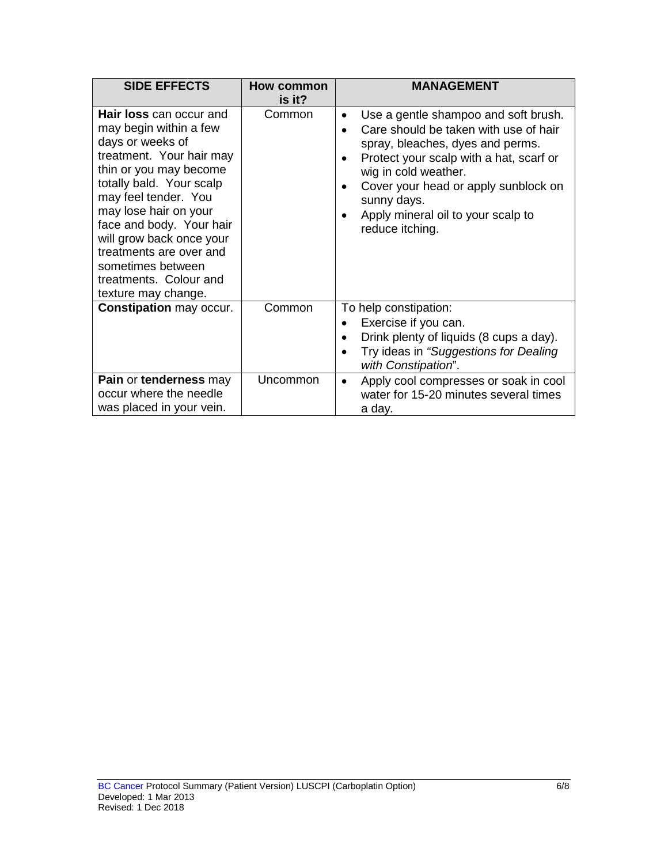| <b>SIDE EFFECTS</b>                                                                                                                                                                                                                                                                                                                                               | <b>How common</b><br>is it? | <b>MANAGEMENT</b>                                                                                                                                                                                                                                                                                    |
|-------------------------------------------------------------------------------------------------------------------------------------------------------------------------------------------------------------------------------------------------------------------------------------------------------------------------------------------------------------------|-----------------------------|------------------------------------------------------------------------------------------------------------------------------------------------------------------------------------------------------------------------------------------------------------------------------------------------------|
| Hair loss can occur and<br>may begin within a few<br>days or weeks of<br>treatment. Your hair may<br>thin or you may become<br>totally bald. Your scalp<br>may feel tender. You<br>may lose hair on your<br>face and body. Your hair<br>will grow back once your<br>treatments are over and<br>sometimes between<br>treatments. Colour and<br>texture may change. | Common                      | Use a gentle shampoo and soft brush.<br>Care should be taken with use of hair<br>spray, bleaches, dyes and perms.<br>Protect your scalp with a hat, scarf or<br>wig in cold weather.<br>Cover your head or apply sunblock on<br>sunny days.<br>Apply mineral oil to your scalp to<br>reduce itching. |
| <b>Constipation may occur.</b>                                                                                                                                                                                                                                                                                                                                    | Common                      | To help constipation:<br>Exercise if you can.<br>Drink plenty of liquids (8 cups a day).<br>Try ideas in "Suggestions for Dealing<br>with Constipation".                                                                                                                                             |
| Pain or tenderness may<br>occur where the needle<br>was placed in your vein.                                                                                                                                                                                                                                                                                      | Uncommon                    | Apply cool compresses or soak in cool<br>water for 15-20 minutes several times<br>a day.                                                                                                                                                                                                             |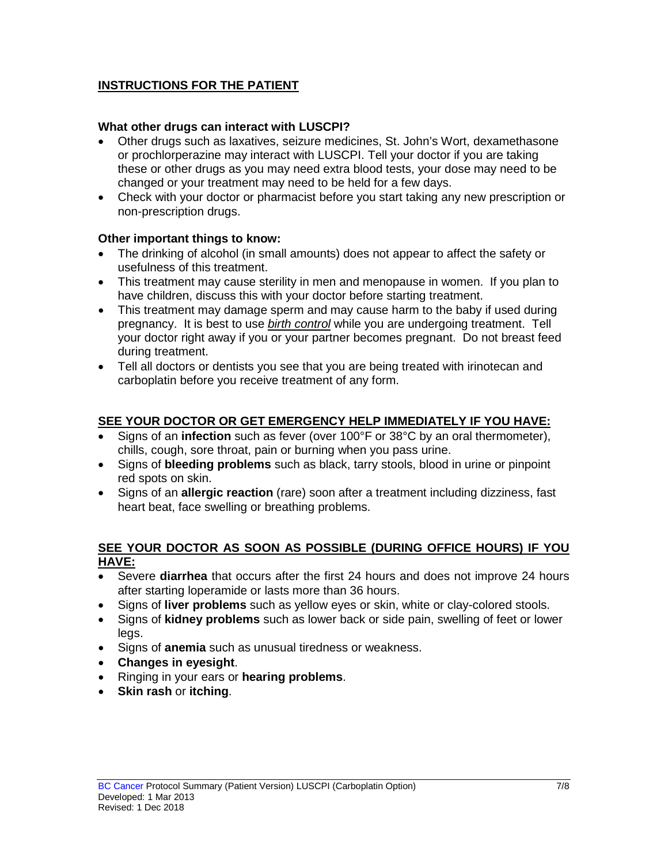# **INSTRUCTIONS FOR THE PATIENT**

## **What other drugs can interact with LUSCPI?**

- Other drugs such as laxatives, seizure medicines, St. John's Wort, dexamethasone or prochlorperazine may interact with LUSCPI. Tell your doctor if you are taking these or other drugs as you may need extra blood tests, your dose may need to be changed or your treatment may need to be held for a few days.
- Check with your doctor or pharmacist before you start taking any new prescription or non-prescription drugs.

### **Other important things to know:**

- The drinking of alcohol (in small amounts) does not appear to affect the safety or usefulness of this treatment.
- This treatment may cause sterility in men and menopause in women. If you plan to have children, discuss this with your doctor before starting treatment.
- This treatment may damage sperm and may cause harm to the baby if used during pregnancy. It is best to use *birth control* while you are undergoing treatment. Tell your doctor right away if you or your partner becomes pregnant. Do not breast feed during treatment.
- Tell all doctors or dentists you see that you are being treated with irinotecan and carboplatin before you receive treatment of any form.

## **SEE YOUR DOCTOR OR GET EMERGENCY HELP IMMEDIATELY IF YOU HAVE:**

- Signs of an **infection** such as fever (over 100°F or 38°C by an oral thermometer), chills, cough, sore throat, pain or burning when you pass urine.
- Signs of **bleeding problems** such as black, tarry stools, blood in urine or pinpoint red spots on skin.
- Signs of an **allergic reaction** (rare) soon after a treatment including dizziness, fast heart beat, face swelling or breathing problems.

### **SEE YOUR DOCTOR AS SOON AS POSSIBLE (DURING OFFICE HOURS) IF YOU HAVE:**

- Severe **diarrhea** that occurs after the first 24 hours and does not improve 24 hours after starting loperamide or lasts more than 36 hours.
- Signs of **liver problems** such as yellow eyes or skin, white or clay-colored stools.
- Signs of **kidney problems** such as lower back or side pain, swelling of feet or lower legs.
- Signs of **anemia** such as unusual tiredness or weakness.
- **Changes in eyesight**.
- Ringing in your ears or **hearing problems**.
- **Skin rash** or **itching**.